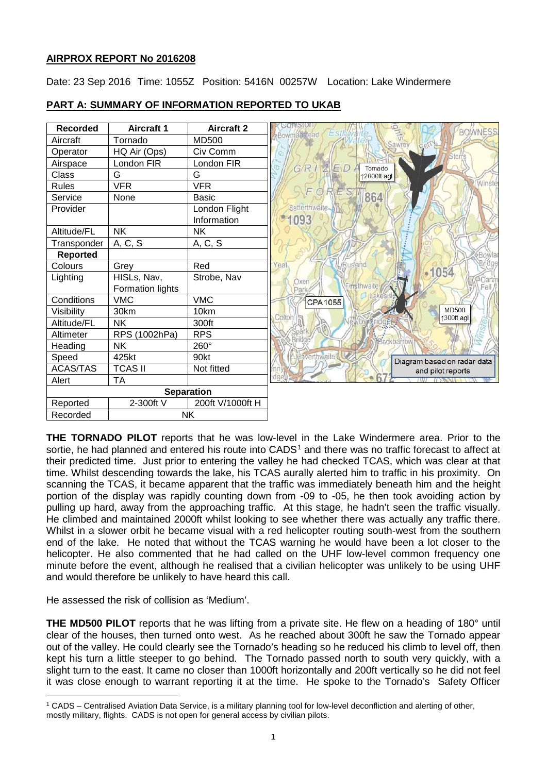# **AIRPROX REPORT No 2016208**

Date: 23 Sep 2016 Time: 1055Z Position: 5416N 00257W Location: Lake Windermere



# **PART A: SUMMARY OF INFORMATION REPORTED TO UKAB**

**THE TORNADO PILOT** reports that he was low-level in the Lake Windermere area. Prior to the sortie, he had planned and entered his route into CADS<sup>[1](#page-0-0)</sup> and there was no traffic forecast to affect at their predicted time. Just prior to entering the valley he had checked TCAS, which was clear at that time. Whilst descending towards the lake, his TCAS aurally alerted him to traffic in his proximity. On scanning the TCAS, it became apparent that the traffic was immediately beneath him and the height portion of the display was rapidly counting down from -09 to -05, he then took avoiding action by pulling up hard, away from the approaching traffic. At this stage, he hadn't seen the traffic visually. He climbed and maintained 2000ft whilst looking to see whether there was actually any traffic there. Whilst in a slower orbit he became visual with a red helicopter routing south-west from the southern end of the lake. He noted that without the TCAS warning he would have been a lot closer to the helicopter. He also commented that he had called on the UHF low-level common frequency one minute before the event, although he realised that a civilian helicopter was unlikely to be using UHF and would therefore be unlikely to have heard this call.

He assessed the risk of collision as 'Medium'.

**THE MD500 PILOT** reports that he was lifting from a private site. He flew on a heading of 180° until clear of the houses, then turned onto west. As he reached about 300ft he saw the Tornado appear out of the valley. He could clearly see the Tornado's heading so he reduced his climb to level off, then kept his turn a little steeper to go behind. The Tornado passed north to south very quickly, with a slight turn to the east. It came no closer than 1000ft horizontally and 200ft vertically so he did not feel it was close enough to warrant reporting it at the time. He spoke to the Tornado's Safety Officer

<span id="page-0-0"></span>l <sup>1</sup> CADS – Centralised Aviation Data Service, is a military planning tool for low-level deconfliction and alerting of other, mostly military, flights. CADS is not open for general access by civilian pilots.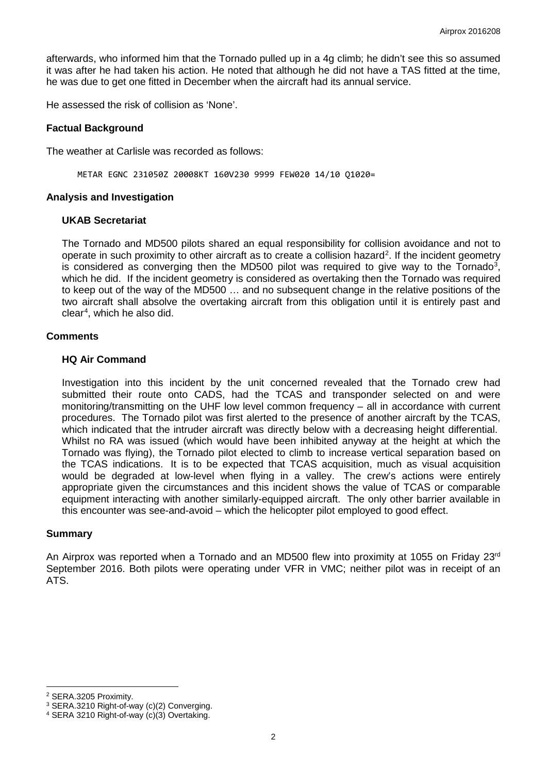afterwards, who informed him that the Tornado pulled up in a 4g climb; he didn't see this so assumed it was after he had taken his action. He noted that although he did not have a TAS fitted at the time, he was due to get one fitted in December when the aircraft had its annual service.

He assessed the risk of collision as 'None'.

## **Factual Background**

The weather at Carlisle was recorded as follows:

METAR EGNC 231050Z 20008KT 160V230 9999 FEW020 14/10 Q1020=

### **Analysis and Investigation**

### **UKAB Secretariat**

The Tornado and MD500 pilots shared an equal responsibility for collision avoidance and not to operate in such proximity to other aircraft as to create a collision hazard<sup>[2](#page-1-0)</sup>. If the incident geometry is considered as converging then the MD500 pilot was required to give way to the Tornado<sup>[3](#page-1-1)</sup>, which he did. If the incident geometry is considered as overtaking then the Tornado was required to keep out of the way of the MD500 … and no subsequent change in the relative positions of the two aircraft shall absolve the overtaking aircraft from this obligation until it is entirely past and clear[4](#page-1-2) , which he also did.

### **Comments**

### **HQ Air Command**

Investigation into this incident by the unit concerned revealed that the Tornado crew had submitted their route onto CADS, had the TCAS and transponder selected on and were monitoring/transmitting on the UHF low level common frequency – all in accordance with current procedures. The Tornado pilot was first alerted to the presence of another aircraft by the TCAS, which indicated that the intruder aircraft was directly below with a decreasing height differential. Whilst no RA was issued (which would have been inhibited anyway at the height at which the Tornado was flying), the Tornado pilot elected to climb to increase vertical separation based on the TCAS indications. It is to be expected that TCAS acquisition, much as visual acquisition would be degraded at low-level when flying in a valley. The crew's actions were entirely appropriate given the circumstances and this incident shows the value of TCAS or comparable equipment interacting with another similarly-equipped aircraft. The only other barrier available in this encounter was see-and-avoid – which the helicopter pilot employed to good effect.

### **Summary**

An Airprox was reported when a Tornado and an MD500 flew into proximity at 1055 on Friday 23rd September 2016. Both pilots were operating under VFR in VMC; neither pilot was in receipt of an ATS.

 $\overline{\phantom{a}}$ 

<span id="page-1-0"></span><sup>2</sup> SERA.3205 Proximity.

<span id="page-1-1"></span><sup>3</sup> SERA.3210 Right-of-way (c)(2) Converging.

<span id="page-1-2"></span><sup>4</sup> SERA 3210 Right-of-way (c)(3) Overtaking.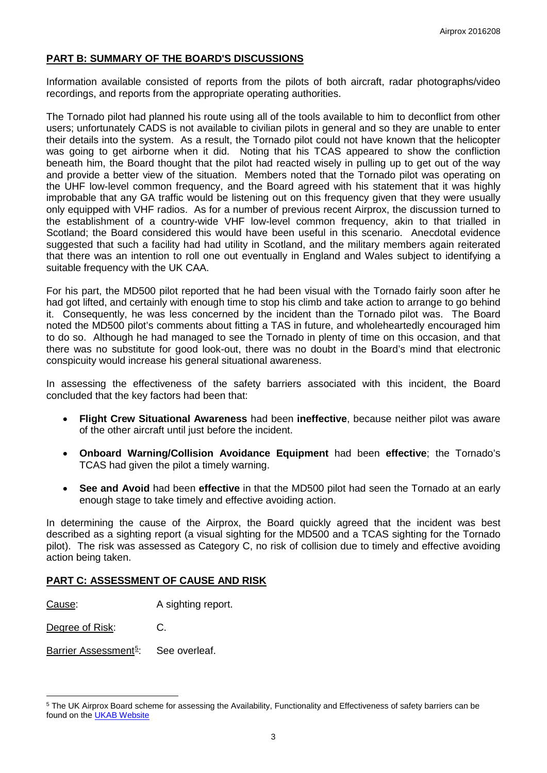## **PART B: SUMMARY OF THE BOARD'S DISCUSSIONS**

Information available consisted of reports from the pilots of both aircraft, radar photographs/video recordings, and reports from the appropriate operating authorities.

The Tornado pilot had planned his route using all of the tools available to him to deconflict from other users; unfortunately CADS is not available to civilian pilots in general and so they are unable to enter their details into the system. As a result, the Tornado pilot could not have known that the helicopter was going to get airborne when it did. Noting that his TCAS appeared to show the confliction beneath him, the Board thought that the pilot had reacted wisely in pulling up to get out of the way and provide a better view of the situation. Members noted that the Tornado pilot was operating on the UHF low-level common frequency, and the Board agreed with his statement that it was highly improbable that any GA traffic would be listening out on this frequency given that they were usually only equipped with VHF radios. As for a number of previous recent Airprox, the discussion turned to the establishment of a country-wide VHF low-level common frequency, akin to that trialled in Scotland; the Board considered this would have been useful in this scenario. Anecdotal evidence suggested that such a facility had had utility in Scotland, and the military members again reiterated that there was an intention to roll one out eventually in England and Wales subject to identifying a suitable frequency with the UK CAA.

For his part, the MD500 pilot reported that he had been visual with the Tornado fairly soon after he had got lifted, and certainly with enough time to stop his climb and take action to arrange to go behind it. Consequently, he was less concerned by the incident than the Tornado pilot was. The Board noted the MD500 pilot's comments about fitting a TAS in future, and wholeheartedly encouraged him to do so. Although he had managed to see the Tornado in plenty of time on this occasion, and that there was no substitute for good look-out, there was no doubt in the Board's mind that electronic conspicuity would increase his general situational awareness.

In assessing the effectiveness of the safety barriers associated with this incident, the Board concluded that the key factors had been that:

- **Flight Crew Situational Awareness** had been **ineffective**, because neither pilot was aware of the other aircraft until just before the incident.
- **Onboard Warning/Collision Avoidance Equipment** had been **effective**; the Tornado's TCAS had given the pilot a timely warning.
- **See and Avoid** had been **effective** in that the MD500 pilot had seen the Tornado at an early enough stage to take timely and effective avoiding action.

In determining the cause of the Airprox, the Board quickly agreed that the incident was best described as a sighting report (a visual sighting for the MD500 and a TCAS sighting for the Tornado pilot). The risk was assessed as Category C, no risk of collision due to timely and effective avoiding action being taken.

## **PART C: ASSESSMENT OF CAUSE AND RISK**

Cause: A sighting report.

Degree of Risk: C.

l

Barrier Assessment<sup>[5](#page-2-0)</sup>: : See overleaf.

<span id="page-2-0"></span><sup>5</sup> The UK Airprox Board scheme for assessing the Availability, Functionality and Effectiveness of safety barriers can be found on the [UKAB Website](http://www.airproxboard.org.uk/Learn-more/Airprox-Barrier-Assessment/)